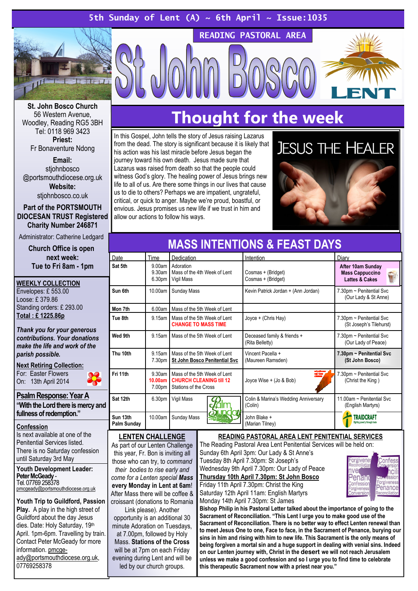### 5th Sunday of Lent (A)  $\sim$  6th April  $\sim$  Issue:1035



St. John Bosco Church 56 Western Avenue, Woodley, Reading RG5 3BH Tel: 0118 969 3423 Priest:

Fr Bonaventure Ndong

Email: stiohnbosco @portsmouthdiocese.org.uk Website: stjohnbosco.co.uk

Part of the PORTSMOUTH DIOCESAN TRUST Registered Charity Number 246871

Administrator: Catherine Ledgard

#### Church Office is open next week: Tue to Fri 8am - 1pm

| <b>WEEKLY COLLECTION</b>  |
|---------------------------|
| Envelopes: £553.00        |
| Loose: £379.86            |
| Standing orders: £ 293.00 |
| Total: £1225.86p          |
|                           |

Thank you for your generous contributions. Your donations make the life and work of the parish possible.

#### **Next Retiring Collection:**

For: Easter Flowers On: 13th April 2014

#### Psalm Response: Year A

"With the Lord there is mercy and fullness of redemption."

#### Confession

Is next available at one of the Penitential Services listed. There is no Saturday confession until Saturday 3rd May

Youth Development Leader: Peter McGeady - Tel. 07769 258378 pmcgeady@portsmouthdiocese.org.uk

Youth Trip to Guildford, Passion Play. A play in the high street of Guildford about the day Jesus dies. Date: Holy Saturday, 19th April. 1pm-6pm. Travelling by train. Contact Peter McGeady for more information. pmcgeady@portsmouthdiocese.org.uk, 07769258378

## Thought for the week

READING PASTORAL AREA

In this Gospel, John tells the story of Jesus raising Lazarus from the dead. The story is significant because it is likely that his action was his last miracle before Jesus began the journey toward his own death. Jesus made sure that Lazarus was raised from death so that the people could witness God's glory. The healing power of Jesus brings new life to all of us. Are there some things in our lives that cause us to die to others? Perhaps we are impatient, ungrateful, critical, or quick to anger. Maybe we're proud, boastful, or envious. Jesus promises us new life if we trust in him and allow our actions to follow his ways.



| <b>MASS INTENTIONS &amp; FEAST DAYS</b> |                                         |                                                                                         |                                                 |                                                                          |  |
|-----------------------------------------|-----------------------------------------|-----------------------------------------------------------------------------------------|-------------------------------------------------|--------------------------------------------------------------------------|--|
| Date                                    | Time                                    | Dedication                                                                              | Intention                                       | Diary                                                                    |  |
| Sat 5th                                 | 9.00am<br>9.30am<br>6.30pm              | Adoration<br>Mass of the 4th Week of Lent<br>Vigil Mass                                 | Cosmas + (Bridget)<br>Cosmas + (Bridget)        | After 10am Sunday<br><b>Mass Cappuccino</b><br><b>Lattes &amp; Cakes</b> |  |
| Sun 6th                                 | 10.00am                                 | Sunday Mass                                                                             | Kevin Patrick Jordan + (Ann Jordan)             | 7.30pm ~ Penitential Svc<br>(Our Lady & St Anne)                         |  |
| Mon 7th                                 | 6.00am                                  | Mass of the 5th Week of Lent                                                            |                                                 |                                                                          |  |
| Tue 8th                                 | 9.15am                                  | Mass of the 5th Week of Lent<br><b>CHANGE TO MASS TIME</b>                              | Joyce + (Chris Hay)                             | 7.30pm ~ Penitential Svc<br>(St Joseph's Tilehurst)                      |  |
| Wed 9th                                 | 9.15am                                  | Mass of the 5th Week of Lent                                                            | Deceased family & friends +<br>(Rita Belletty)  | 7.30pm ~ Penitential Svc<br>(Our Lady of Peace)                          |  |
| Thu 10th                                | 9.15am<br>7.30pm                        | Mass of the 5th Week of Lent<br><b>St John Bosco Penitential Svc</b>                    | Vincent Pacella +<br>(Maureen Ramsden)          | 7.30pm ~ Penitential Svc<br>(St John Bosco)                              |  |
| Fri 11th                                | 9.30 <sub>am</sub><br>10.00am<br>7.00pm | Mass of the 5th Week of Lent<br><b>CHURCH CLEANING till 12</b><br>Stations of the Cross | rtation<br>ng the<br>Joyce Wise + (Jo & Bob)    | 7.30pm ~ Penitential Svc<br>(Christ the King)                            |  |
| Sat 12th                                | 6.30pm                                  | Vigil Mass                                                                              | Colin & Marina's Wedding Anniversary<br>(Colin) | 11 00am ~ Penitential Svc.<br>(English Martyrs)                          |  |
| Sun 13th<br>Palm Sunday                 | 10.00am                                 | Sunday Mass                                                                             | John Blake +<br>(Marian Tilney)                 | <b>TRAIDCRAFT</b>                                                        |  |

#### LENTEN CHALLENGE

As part of our Lenten Challenge this year, Fr. Bon is inviting all those who can try, to command their bodies to rise early and come for a Lenten special Mass every Monday in Lent at 6am! After Mass there will be coffee & croissant (donations to Romania

Link please). Another opportunity is an additional 30 minute Adoration on Tuesdays, at 7.00pm, followed by Holy

Mass. Stations of the Cross will be at 7pm on each Friday evening during Lent and will be led by our church groups.

#### READING PASTORAL AREA LENT PENITENTIAL SERVICES

The Reading Pastoral Area Lent Penitential Services will be held on: Sunday 6th April 3pm: Our Lady & St Anne's

Tuesday 8th April 7.30pm: St Joseph's Wednesday 9th April 7.30pm: Our Lady of Peace Thursday 10th April 7.30pm: St John Bosco Friday 11th April 7.30pm: Christ the King Saturday 12th April 11am: English Martyrs Monday 14th April 7.30pm: St James



Bishop Philip in his Pastoral Letter talked about the importance of going to the Sacrament of Reconciliation. "This Lent I urge you to make good use of the Sacrament of Reconciliation. There is no better way to effect Lenten renewal than to meet Jesus One to one, Face to face, in the Sacrament of Penance, burying our sins in him and rising with him to new life. This Sacrament is the only means of being forgiven a mortal sin and a huge support in dealing with venial sins. Indeed on our Lenten journey with, Christ in the **desert** we will not reach Jerusalem unless we make a good confession and so I urge you to find time to celebrate this therapeutic Sacrament now with a priest near you."